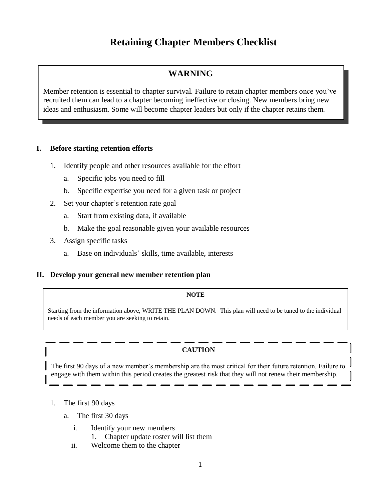# **Retaining Chapter Members Checklist**

# **WARNING**

Member retention is essential to chapter survival. Failure to retain chapter members once you've recruited them can lead to a chapter becoming ineffective or closing. New members bring new ideas and enthusiasm. Some will become chapter leaders but only if the chapter retains them.

## **I. Before starting retention efforts**

- 1. Identify people and other resources available for the effort
	- a. Specific jobs you need to fill
	- b. Specific expertise you need for a given task or project
- 2. Set your chapter's retention rate goal
	- a. Start from existing data, if available
	- b. Make the goal reasonable given your available resources
- 3. Assign specific tasks
	- a. Base on individuals' skills, time available, interests

## **II. Develop your general new member retention plan**

#### **NOTE**

Starting from the information above, WRITE THE PLAN DOWN. This plan will need to be tuned to the individual needs of each member you are seeking to retain.

## **CAUTION**

The first 90 days of a new member's membership are the most critical for their future retention. Failure to engage with them within this period creates the greatest risk that they will not renew their membership.

- 1. The first 90 days
	- a. The first 30 days
		- i. Identify your new members
			- 1. Chapter update roster will list them
		- ii. Welcome them to the chapter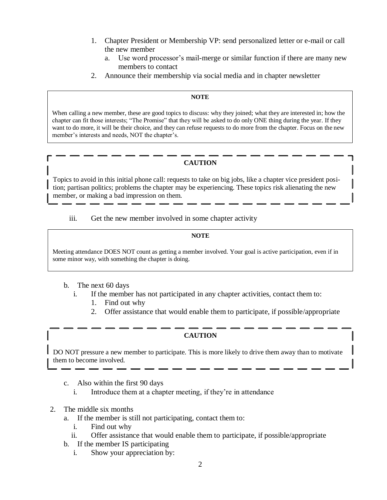- 1. Chapter President or Membership VP: send personalized letter or e-mail or call the new member
	- a. Use word processor's mail-merge or similar function if there are many new members to contact
- 2. Announce their membership via social media and in chapter newsletter

## **NOTE**

When calling a new member, these are good topics to discuss: why they joined; what they are interested in; how the chapter can fit those interests; "The Promise" that they will be asked to do only ONE thing during the year. If they want to do more, it will be their choice, and they can refuse requests to do more from the chapter. Focus on the new member's interests and needs, NOT the chapter's.

# **CAUTION**

Topics to avoid in this initial phone call: requests to take on big jobs, like a chapter vice president position; partisan politics; problems the chapter may be experiencing. These topics risk alienating the new member, or making a bad impression on them.

iii. Get the new member involved in some chapter activity

#### **NOTE**

Meeting attendance DOES NOT count as getting a member involved. Your goal is active participation, even if in some minor way, with something the chapter is doing.

- b. The next 60 days
	- i. If the member has not participated in any chapter activities, contact them to:
		- 1. Find out why
		- 2. Offer assistance that would enable them to participate, if possible/appropriate

## **CAUTION**

DO NOT pressure a new member to participate. This is more likely to drive them away than to motivate them to become involved.

- c. Also within the first 90 days
	- i. Introduce them at a chapter meeting, if they're in attendance
- 2. The middle six months
	- a. If the member is still not participating, contact them to:
		- i. Find out why
		- ii. Offer assistance that would enable them to participate, if possible/appropriate
	- b. If the member IS participating
		- i. Show your appreciation by: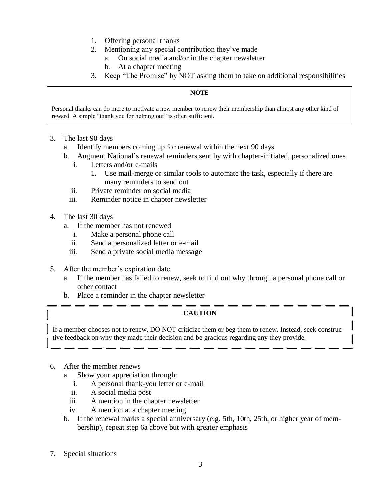- 1. Offering personal thanks
- 2. Mentioning any special contribution they've made
	- a. On social media and/or in the chapter newsletter
	- b. At a chapter meeting
- 3. Keep "The Promise" by NOT asking them to take on additional responsibilities

### **NOTE**

Personal thanks can do more to motivate a new member to renew their membership than almost any other kind of reward. A simple "thank you for helping out" is often sufficient.

- 3. The last 90 days
	- a. Identify members coming up for renewal within the next 90 days
	- b. Augment National's renewal reminders sent by with chapter-initiated, personalized ones
		- i. Letters and/or e-mails
			- 1. Use mail-merge or similar tools to automate the task, especially if there are many reminders to send out
		- ii. Private reminder on social media
		- iii. Reminder notice in chapter newsletter
- 4. The last 30 days
	- a. If the member has not renewed
		- i. Make a personal phone call
		- ii. Send a personalized letter or e-mail
		- iii. Send a private social media message
- 5. After the member's expiration date
	- a. If the member has failed to renew, seek to find out why through a personal phone call or other contact
	- b. Place a reminder in the chapter newsletter

# **CAUTION**

If a member chooses not to renew, DO NOT criticize them or beg them to renew. Instead, seek constructive feedback on why they made their decision and be gracious regarding any they provide.

- 6. After the member renews
	- a. Show your appreciation through:
		- i. A personal thank-you letter or e-mail
		- ii. A social media post
		- iii. A mention in the chapter newsletter
		- iv. A mention at a chapter meeting
	- b. If the renewal marks a special anniversary (e.g. 5th, 10th, 25th, or higher year of membership), repeat step 6a above but with greater emphasis
- 7. Special situations